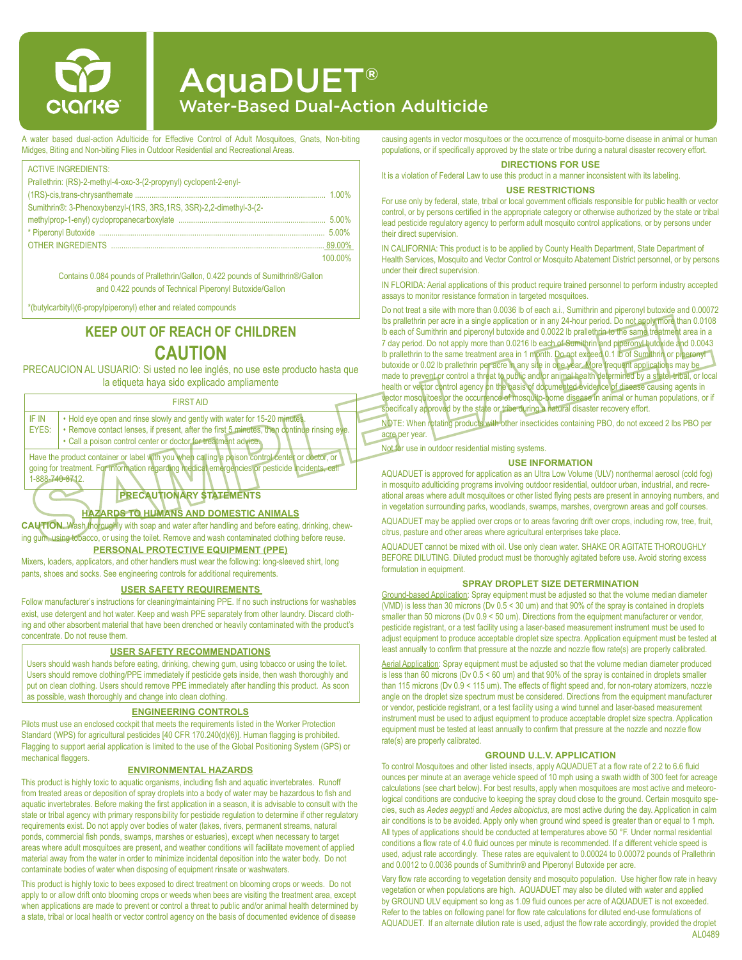

# AquaDUET® Water-Based Dual-Action Adulticide

A water based dual-action Adulticide for Effective Control of Adult Mosquitoes, Gnats, Non-biting Midges, Biting and Non-biting Flies in Outdoor Residential and Recreational Areas.

| <b>ACTIVE INGREDIENTS:</b>                                          |         |
|---------------------------------------------------------------------|---------|
| Prallethrin: (RS)-2-methyl-4-oxo-3-(2-propynyl) cyclopent-2-enyl-   |         |
|                                                                     |         |
| Sumithrin®: 3-Phenoxybenzyl-(1RS, 3RS, 1RS, 3SR)-2,2-dimethyl-3-(2- |         |
|                                                                     |         |
|                                                                     | 500%    |
|                                                                     |         |
|                                                                     | 100 00% |
|                                                                     |         |

Contains 0.084 pounds of Prallethrin/Gallon, 0.422 pounds of Sumithrin®/Gallon and 0.422 pounds of Technical Piperonyl Butoxide/Gallon

\*(butylcarbityl)(6-propylpiperonyl) ether and related compounds

## **KEEP OUT OF REACH OF CHILDREN CAUTION**

PRECAUCION AL USUARIO: Si usted no lee inglés, no use este producto hasta que la etiqueta haya sido explicado ampliamente

#### FIRST AID

| IF IN<br>EYES: | . Hold eye open and rinse slowly and gently with water for 15-20 minutes.<br>. Remove contact lenses, if present, after the first 5 minutes, then continue rinsing eve.<br>• Call a poison control center or doctor for treatment advice. |  |
|----------------|-------------------------------------------------------------------------------------------------------------------------------------------------------------------------------------------------------------------------------------------|--|
|                | There the modular contribution of helpel with transformation and in a strong contact would be all returns of                                                                                                                              |  |

Have the product container or label with you when calling a poison control center or doctor, or going for treatment. For information regarding medical emergencies or pesticide incidents, call 1-888-740-8712.

## **PRECAUTIONARY STATEMENTS**

## **HAZARDS TO HUMANS AND DOMESTIC ANIMALS**

**CAUTION**. Wash thoroughly with soap and water after handling and before eating, drinking, chewing gum, using tobacco, or using the toilet. Remove and wash contaminated clothing before reuse. **PERSONAL PROTECTIVE EQUIPMENT (PPE)**

Mixers, loaders, applicators, and other handlers must wear the following: long-sleeved shirt, long pants, shoes and socks. See engineering controls for additional requirements.

#### **USER SAFETY REQUIREMENTS**

Follow manufacturer's instructions for cleaning/maintaining PPE. If no such instructions for washables exist, use detergent and hot water. Keep and wash PPE separately from other laundry. Discard clothing and other absorbent material that have been drenched or heavily contaminated with the product's concentrate. Do not reuse them.

### **USER SAFETY RECOMMENDATIONS**

Users should wash hands before eating, drinking, chewing gum, using tobacco or using the toilet. Users should remove clothing/PPE immediately if pesticide gets inside, then wash thoroughly and put on clean clothing. Users should remove PPE immediately after handling this product. As soon as possible, wash thoroughly and change into clean clothing.

#### **ENGINEERING CONTROLS**

Pilots must use an enclosed cockpit that meets the requirements listed in the Worker Protection Standard (WPS) for agricultural pesticides [40 CFR 170.240(d)(6)]. Human flagging is prohibited. Flagging to support aerial application is limited to the use of the Global Positioning System (GPS) or mechanical flaggers.

#### **ENVIRONMENTAL HAZARDS**

This product is highly toxic to aquatic organisms, including fish and aquatic invertebrates. Runoff from treated areas or deposition of spray droplets into a body of water may be hazardous to fish and aquatic invertebrates. Before making the first application in a season, it is advisable to consult with the state or tribal agency with primary responsibility for pesticide regulation to determine if other regulatory requirements exist. Do not apply over bodies of water (lakes, rivers, permanent streams, natural ponds, commercial fish ponds, swamps, marshes or estuaries), except when necessary to target areas where adult mosquitoes are present, and weather conditions will facilitate movement of applied material away from the water in order to minimize incidental deposition into the water body. Do not contaminate bodies of water when disposing of equipment rinsate or washwaters.

This product is highly toxic to bees exposed to direct treatment on blooming crops or weeds. Do not apply to or allow drift onto blooming crops or weeds when bees are visiting the treatment area, except when applications are made to prevent or control a threat to public and/or animal health determined by a state, tribal or local health or vector control agency on the basis of documented evidence of disease

causing agents in vector mosquitoes or the occurrence of mosquito-borne disease in animal or human populations, or if specifically approved by the state or tribe during a natural disaster recovery effort.

## **DIRECTIONS FOR USE**

It is a violation of Federal Law to use this product in a manner inconsistent with its labeling.

#### **USE RESTRICTIONS**

For use only by federal, state, tribal or local government officials responsible for public health or vector control, or by persons certified in the appropriate category or otherwise authorized by the state or tribal lead pesticide regulatory agency to perform adult mosquito control applications, or by persons under their direct supervision.

IN CALIFORNIA: This product is to be applied by County Health Department, State Department of Health Services, Mosquito and Vector Control or Mosquito Abatement District personnel, or by persons under their direct supervision.

IN FLORIDA: Aerial applications of this product require trained personnel to perform industry accepted assays to monitor resistance formation in targeted mosquitoes.

Do not treat a site with more than 0.0036 lb of each a.i., Sumithrin and piperonyl butoxide and 0.00072 lbs prallethrin per acre in a single application or in any 24-hour period. Do not apply more than 0.0108 lb each of Sumithrin and piperonyl butoxide and 0.0022 lb prallethrin to the same treatment area in a 7 day period. Do not apply more than 0.0216 lb each of Sumithrin and piperonyl butokide and 0.0043 lb prallethrin to the same treatment area in 1 month. Do not exceed 0.1 lb of Sumithrin or piperonyl butoxide or 0.02 lb prallethrin per acre in any site in one year. More frequent applications may be made to prevent or control a threat to public and/or animal health determined by a state, tribal, or local health or vector control agency on the basis of documented evidence of disease causing agents in vector mosquitoes or the occurrence of mosquito-borne disease in animal or human populations, or if specifically approved by the state or tribe during a natural disaster recovery effort.

NOTE: When rotating products with other insecticides containing PBO, do not exceed 2 lbs PBO per acre per year.

Not for use in outdoor residential misting systems.

#### **USE INFORMATION**

AQUADUET is approved for application as an Ultra Low Volume (ULV) nonthermal aerosol (cold fog) in mosquito adulticiding programs involving outdoor residential, outdoor urban, industrial, and recreational areas where adult mosquitoes or other listed flying pests are present in annoying numbers, and in vegetation surrounding parks, woodlands, swamps, marshes, overgrown areas and golf courses.

AQUADUET may be applied over crops or to areas favoring drift over crops, including row, tree, fruit, citrus, pasture and other areas where agricultural enterprises take place.

AQUADUET cannot be mixed with oil. Use only clean water. SHAKE OR AGITATE THOROUGHLY BEFORE DILUTING. Diluted product must be thoroughly agitated before use. Avoid storing excess formulation in equipment.

#### **SPRAY DROPLET SIZE DETERMINATION**

Ground-based Application: Spray equipment must be adjusted so that the volume median diameter (VMD) is less than 30 microns (Dv  $0.5 < 30$  um) and that 90% of the spray is contained in droplets smaller than 50 microns (Dv 0.9 < 50 um). Directions from the equipment manufacturer or vendor, pesticide registrant, or a test facility using a laser-based measurement instrument must be used to adjust equipment to produce acceptable droplet size spectra. Application equipment must be tested at least annually to confirm that pressure at the nozzle and nozzle flow rate(s) are properly calibrated.

Aerial Application: Spray equipment must be adjusted so that the volume median diameter produced is less than 60 microns (Dv 0.5 < 60 um) and that 90% of the spray is contained in droplets smaller than 115 microns (Dv 0.9 < 115 um). The effects of flight speed and, for non-rotary atomizers, nozzle angle on the droplet size spectrum must be considered. Directions from the equipment manufacturer or vendor, pesticide registrant, or a test facility using a wind tunnel and laser-based measurement instrument must be used to adjust equipment to produce acceptable droplet size spectra. Application equipment must be tested at least annually to confirm that pressure at the nozzle and nozzle flow rate(s) are properly calibrated.

#### **GROUND U.L.V. APPLICATION**

To control Mosquitoes and other listed insects, apply AQUADUET at a flow rate of 2.2 to 6.6 fluid ounces per minute at an average vehicle speed of 10 mph using a swath width of 300 feet for acreage calculations (see chart below). For best results, apply when mosquitoes are most active and meteorological conditions are conducive to keeping the spray cloud close to the ground. Certain mosquito species, such as *Aedes aegypti* and *Aedes albopictus*, are most active during the day. Application in calm air conditions is to be avoided. Apply only when ground wind speed is greater than or equal to 1 mph. All types of applications should be conducted at temperatures above 50 °F. Under normal residential conditions a flow rate of 4.0 fluid ounces per minute is recommended. If a different vehicle speed is used, adjust rate accordingly. These rates are equivalent to 0.00024 to 0.00072 pounds of Prallethrin and 0.0012 to 0.0036 pounds of Sumithrin® and Piperonyl Butoxide per acre.

Vary flow rate according to vegetation density and mosquito population. Use higher flow rate in heavy vegetation or when populations are high. AQUADUET may also be diluted with water and applied by GROUND ULV equipment so long as 1.09 fluid ounces per acre of AQUADUET is not exceeded. Refer to the tables on following panel for flow rate calculations for diluted end-use formulations of AQUADUET. If an alternate dilution rate is used, adjust the flow rate accordingly, provided the droplet